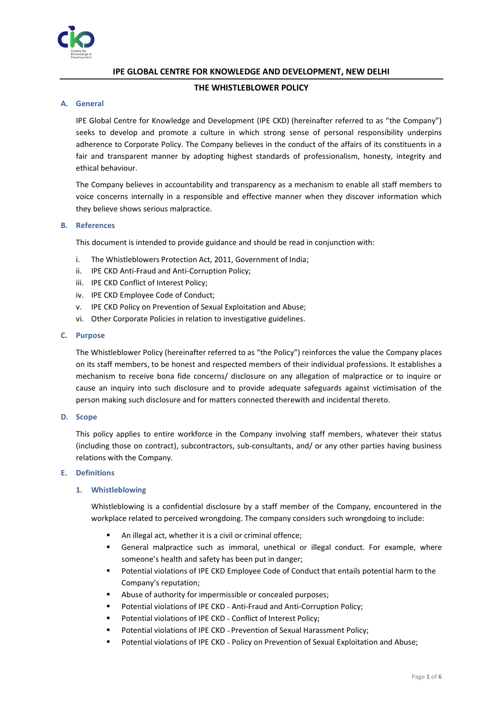

# **IPE GLOBAL CENTRE FOR KNOWLEDGE AND DEVELOPMENT, NEW DELHI**

# **THE WHISTLEBLOWER POLICY**

# **A. General**

IPE Global Centre for Knowledge and Development (IPE CKD) (hereinafter referred to as "the Company") seeks to develop and promote a culture in which strong sense of personal responsibility underpins adherence to Corporate Policy. The Company believes in the conduct of the affairs of its constituents in a fair and transparent manner by adopting highest standards of professionalism, honesty, integrity and ethical behaviour.

The Company believes in accountability and transparency as a mechanism to enable all staff members to voice concerns internally in a responsible and effective manner when they discover information which they believe shows serious malpractice.

### **B. References**

This document is intended to provide guidance and should be read in conjunction with:

- i. The Whistleblowers Protection Act, 2011, Government of India;
- ii. IPE CKD Anti-Fraud and Anti-Corruption Policy;
- iii. IPE CKD Conflict of Interest Policy;
- iv. IPE CKD Employee Code of Conduct;
- v. IPE CKD Policy on Prevention of Sexual Exploitation and Abuse;
- vi. Other Corporate Policies in relation to investigative guidelines.

### **C. Purpose**

The Whistleblower Policy (hereinafter referred to as "the Policy") reinforces the value the Company places on its staff members, to be honest and respected members of their individual professions. It establishes a mechanism to receive bona fide concerns/ disclosure on any allegation of malpractice or to inquire or cause an inquiry into such disclosure and to provide adequate safeguards against victimisation of the person making such disclosure and for matters connected therewith and incidental thereto.

### **D. Scope**

This policy applies to entire workforce in the Company involving staff members, whatever their status (including those on contract), subcontractors, sub-consultants, and/ or any other parties having business relations with the Company.

### **E. Definitions**

# **1. Whistleblowing**

Whistleblowing is a confidential disclosure by a staff member of the Company, encountered in the workplace related to perceived wrongdoing. The company considers such wrongdoing to include:

- An illegal act, whether it is a civil or criminal offence;
- **EXECTE FOR IMALE IN A STARK IS CONCOCO EXAMPLE 15 FOR EXAMPLE IN A STARK ISLEM** General malpractice such as immoral, unethical or illegal conduct. For example, where someone's health and safety has been put in danger;
- Potential violations of IPE CKD Employee Code of Conduct that entails potential harm to the Company's reputation;
- Abuse of authority for impermissible or concealed purposes;
- Potential violations of IPE CKD ~ Anti-Fraud and Anti-Corruption Policy;
- Potential violations of IPE CKD ~ Conflict of Interest Policy;
- Potential violations of IPE CKD ~ Prevention of Sexual Harassment Policy;
- Potential violations of IPE CKD ~ Policy on Prevention of Sexual Exploitation and Abuse;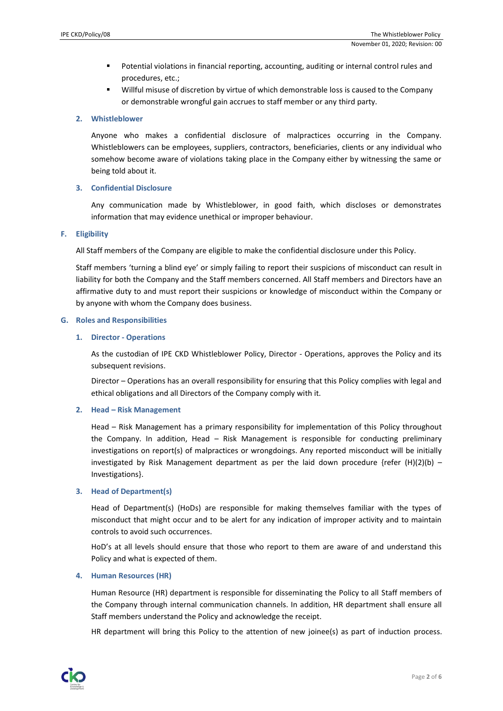- Potential violations in financial reporting, accounting, auditing or internal control rules and procedures, etc.;
- Willful misuse of discretion by virtue of which demonstrable loss is caused to the Company or demonstrable wrongful gain accrues to staff member or any third party.

# **2. Whistleblower**

Anyone who makes a confidential disclosure of malpractices occurring in the Company. Whistleblowers can be employees, suppliers, contractors, beneficiaries, clients or any individual who somehow become aware of violations taking place in the Company either by witnessing the same or being told about it.

# **3. Confidential Disclosure**

Any communication made by Whistleblower, in good faith, which discloses or demonstrates information that may evidence unethical or improper behaviour.

# **F. Eligibility**

All Staff members of the Company are eligible to make the confidential disclosure under this Policy.

Staff members 'turning a blind eye' or simply failing to report their suspicions of misconduct can result in liability for both the Company and the Staff members concerned. All Staff members and Directors have an affirmative duty to and must report their suspicions or knowledge of misconduct within the Company or by anyone with whom the Company does business.

# **G. Roles and Responsibilities**

### **1. Director - Operations**

As the custodian of IPE CKD Whistleblower Policy, Director - Operations, approves the Policy and its subsequent revisions.

Director – Operations has an overall responsibility for ensuring that this Policy complies with legal and ethical obligations and all Directors of the Company comply with it.

# **2. Head – Risk Management**

Head – Risk Management has a primary responsibility for implementation of this Policy throughout the Company. In addition, Head – Risk Management is responsible for conducting preliminary investigations on report(s) of malpractices or wrongdoings. Any reported misconduct will be initially investigated by Risk Management department as per the laid down procedure {refer  $(H)(2)(b)$  – Investigations}.

# **3. Head of Department(s)**

Head of Department(s) (HoDs) are responsible for making themselves familiar with the types of misconduct that might occur and to be alert for any indication of improper activity and to maintain controls to avoid such occurrences.

HoD's at all levels should ensure that those who report to them are aware of and understand this Policy and what is expected of them.

# **4. Human Resources (HR)**

Human Resource (HR) department is responsible for disseminating the Policy to all Staff members of the Company through internal communication channels. In addition, HR department shall ensure all Staff members understand the Policy and acknowledge the receipt.

HR department will bring this Policy to the attention of new joinee(s) as part of induction process.

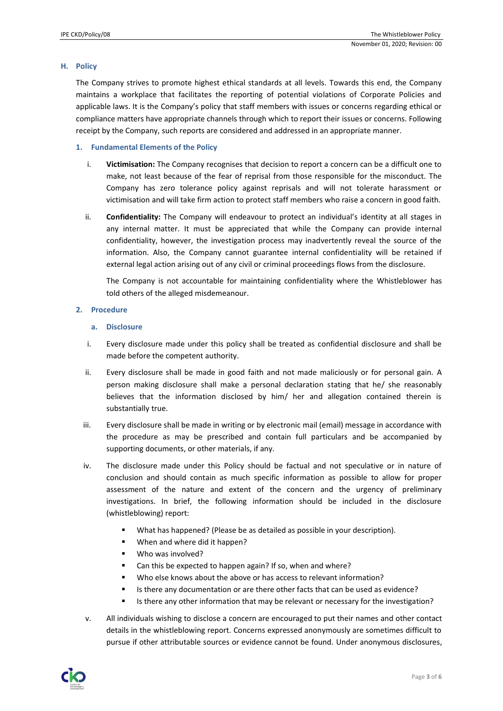### **H. Policy**

The Company strives to promote highest ethical standards at all levels. Towards this end, the Company maintains a workplace that facilitates the reporting of potential violations of Corporate Policies and applicable laws. It is the Company's policy that staff members with issues or concerns regarding ethical or compliance matters have appropriate channels through which to report their issues or concerns. Following receipt by the Company, such reports are considered and addressed in an appropriate manner.

### **1. Fundamental Elements of the Policy**

- i. **Victimisation:** The Company recognises that decision to report a concern can be a difficult one to make, not least because of the fear of reprisal from those responsible for the misconduct. The Company has zero tolerance policy against reprisals and will not tolerate harassment or victimisation and will take firm action to protect staff members who raise a concern in good faith.
- ii. **Confidentiality:** The Company will endeavour to protect an individual's identity at all stages in any internal matter. It must be appreciated that while the Company can provide internal confidentiality, however, the investigation process may inadvertently reveal the source of the information. Also, the Company cannot guarantee internal confidentiality will be retained if external legal action arising out of any civil or criminal proceedings flows from the disclosure.

The Company is not accountable for maintaining confidentiality where the Whistleblower has told others of the alleged misdemeanour.

### **2. Procedure**

### **a. Disclosure**

- i. Every disclosure made under this policy shall be treated as confidential disclosure and shall be made before the competent authority.
- ii. Every disclosure shall be made in good faith and not made maliciously or for personal gain. A person making disclosure shall make a personal declaration stating that he/ she reasonably believes that the information disclosed by him/ her and allegation contained therein is substantially true.
- iii. Every disclosure shall be made in writing or by electronic mail (email) message in accordance with the procedure as may be prescribed and contain full particulars and be accompanied by supporting documents, or other materials, if any.
- iv. The disclosure made under this Policy should be factual and not speculative or in nature of conclusion and should contain as much specific information as possible to allow for proper assessment of the nature and extent of the concern and the urgency of preliminary investigations. In brief, the following information should be included in the disclosure (whistleblowing) report:
	- What has happened? (Please be as detailed as possible in your description).
	- When and where did it happen?
	- Who was involved?
	- Can this be expected to happen again? If so, when and where?
	- Who else knows about the above or has access to relevant information?
	- Is there any documentation or are there other facts that can be used as evidence?
	- Is there any other information that may be relevant or necessary for the investigation?
- v. All individuals wishing to disclose a concern are encouraged to put their names and other contact details in the whistleblowing report. Concerns expressed anonymously are sometimes difficult to pursue if other attributable sources or evidence cannot be found. Under anonymous disclosures,

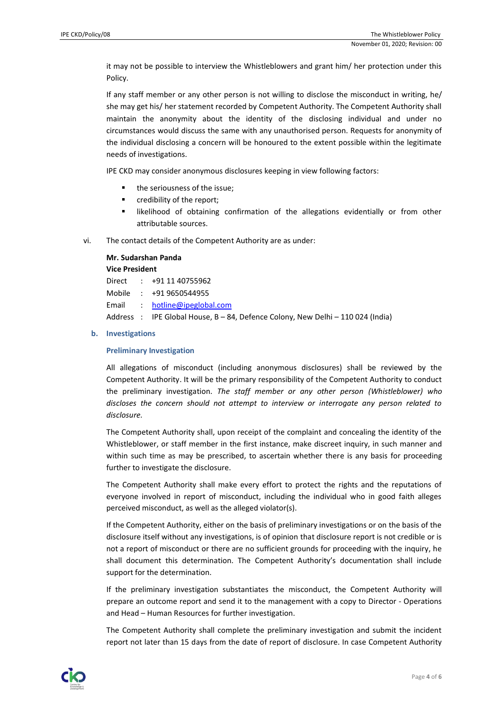it may not be possible to interview the Whistleblowers and grant him/ her protection under this Policy.

If any staff member or any other person is not willing to disclose the misconduct in writing, he/ she may get his/ her statement recorded by Competent Authority. The Competent Authority shall maintain the anonymity about the identity of the disclosing individual and under no circumstances would discuss the same with any unauthorised person. Requests for anonymity of the individual disclosing a concern will be honoured to the extent possible within the legitimate needs of investigations.

IPE CKD may consider anonymous disclosures keeping in view following factors:

- the seriousness of the issue;
- credibility of the report;
- likelihood of obtaining confirmation of the allegations evidentially or from other attributable sources.
- vi. The contact details of the Competent Authority are as under:

### **Mr. Sudarshan Panda**

### **Vice President**

|  | Direct : +91 11 40755962                                                        |
|--|---------------------------------------------------------------------------------|
|  | Mobile : +91 9650544955                                                         |
|  | Email : hotline@ipeglobal.com                                                   |
|  | Address : IPE Global House, B – 84, Defence Colony, New Delhi – 110 024 (India) |

### **b. Investigations**

#### **Preliminary Investigation**

All allegations of misconduct (including anonymous disclosures) shall be reviewed by the Competent Authority. It will be the primary responsibility of the Competent Authority to conduct the preliminary investigation. *The staff member or any other person (Whistleblower) who discloses the concern should not attempt to interview or interrogate any person related to disclosure.* 

The Competent Authority shall, upon receipt of the complaint and concealing the identity of the Whistleblower, or staff member in the first instance, make discreet inquiry, in such manner and within such time as may be prescribed, to ascertain whether there is any basis for proceeding further to investigate the disclosure.

The Competent Authority shall make every effort to protect the rights and the reputations of everyone involved in report of misconduct, including the individual who in good faith alleges perceived misconduct, as well as the alleged violator(s).

If the Competent Authority, either on the basis of preliminary investigations or on the basis of the disclosure itself without any investigations, is of opinion that disclosure report is not credible or is not a report of misconduct or there are no sufficient grounds for proceeding with the inquiry, he shall document this determination. The Competent Authority's documentation shall include support for the determination.

If the preliminary investigation substantiates the misconduct, the Competent Authority will prepare an outcome report and send it to the management with a copy to Director - Operations and Head – Human Resources for further investigation.

The Competent Authority shall complete the preliminary investigation and submit the incident report not later than 15 days from the date of report of disclosure. In case Competent Authority

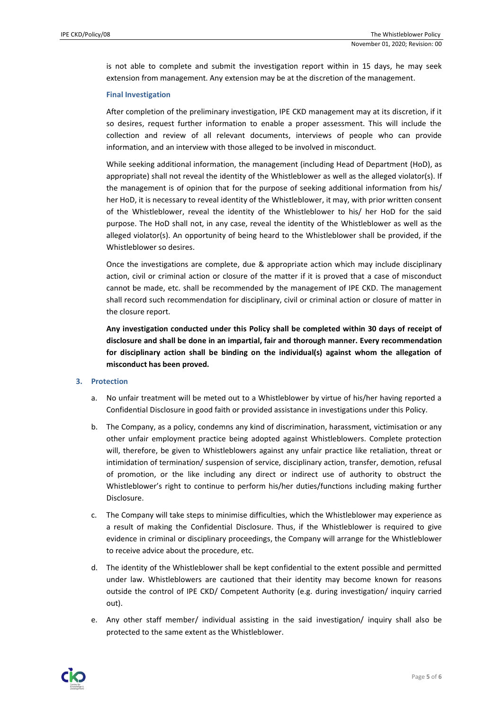is not able to complete and submit the investigation report within in 15 days, he may seek extension from management. Any extension may be at the discretion of the management.

### **Final Investigation**

After completion of the preliminary investigation, IPE CKD management may at its discretion, if it so desires, request further information to enable a proper assessment. This will include the collection and review of all relevant documents, interviews of people who can provide information, and an interview with those alleged to be involved in misconduct.

While seeking additional information, the management (including Head of Department (HoD), as appropriate) shall not reveal the identity of the Whistleblower as well as the alleged violator(s). If the management is of opinion that for the purpose of seeking additional information from his/ her HoD, it is necessary to reveal identity of the Whistleblower, it may, with prior written consent of the Whistleblower, reveal the identity of the Whistleblower to his/ her HoD for the said purpose. The HoD shall not, in any case, reveal the identity of the Whistleblower as well as the alleged violator(s). An opportunity of being heard to the Whistleblower shall be provided, if the Whistleblower so desires.

Once the investigations are complete, due & appropriate action which may include disciplinary action, civil or criminal action or closure of the matter if it is proved that a case of misconduct cannot be made, etc. shall be recommended by the management of IPE CKD. The management shall record such recommendation for disciplinary, civil or criminal action or closure of matter in the closure report.

**Any investigation conducted under this Policy shall be completed within 30 days of receipt of disclosure and shall be done in an impartial, fair and thorough manner. Every recommendation for disciplinary action shall be binding on the individual(s) against whom the allegation of misconduct has been proved.**

### **3. Protection**

- a. No unfair treatment will be meted out to a Whistleblower by virtue of his/her having reported a Confidential Disclosure in good faith or provided assistance in investigations under this Policy.
- b. The Company, as a policy, condemns any kind of discrimination, harassment, victimisation or any other unfair employment practice being adopted against Whistleblowers. Complete protection will, therefore, be given to Whistleblowers against any unfair practice like retaliation, threat or intimidation of termination/ suspension of service, disciplinary action, transfer, demotion, refusal of promotion, or the like including any direct or indirect use of authority to obstruct the Whistleblower's right to continue to perform his/her duties/functions including making further Disclosure.
- c. The Company will take steps to minimise difficulties, which the Whistleblower may experience as a result of making the Confidential Disclosure. Thus, if the Whistleblower is required to give evidence in criminal or disciplinary proceedings, the Company will arrange for the Whistleblower to receive advice about the procedure, etc.
- d. The identity of the Whistleblower shall be kept confidential to the extent possible and permitted under law. Whistleblowers are cautioned that their identity may become known for reasons outside the control of IPE CKD/ Competent Authority (e.g. during investigation/ inquiry carried out).
- e. Any other staff member/ individual assisting in the said investigation/ inquiry shall also be protected to the same extent as the Whistleblower.